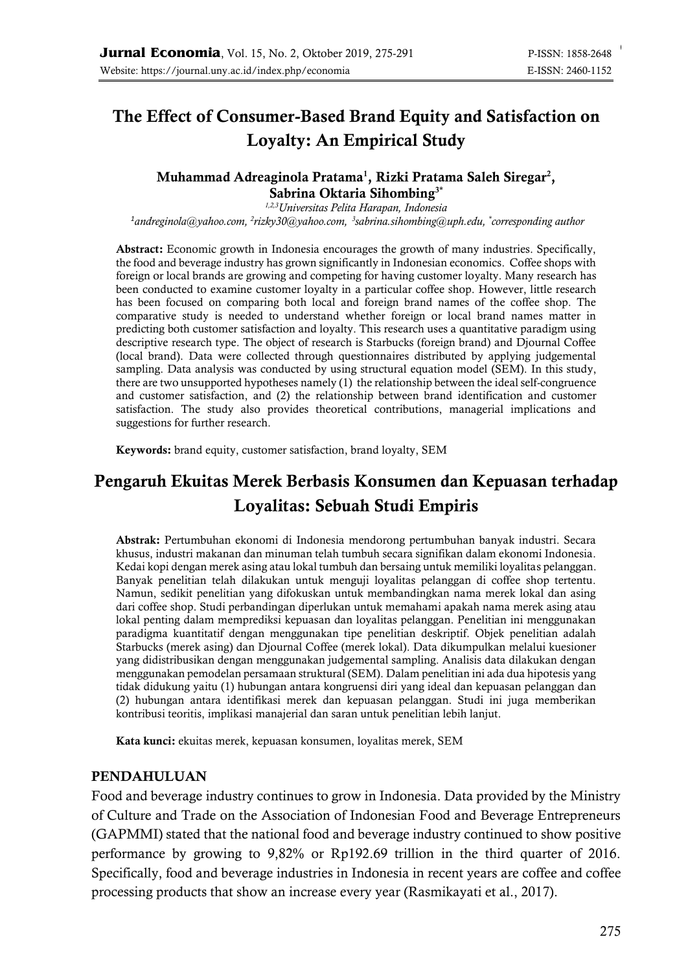# The Effect of Consumer-Based Brand Equity and Satisfaction on Loyalty: An Empirical Study

### Muhammad Adreaginola Pratama<sup>1</sup>, Rizki Pratama Saleh Siregar<sup>2</sup>, Sabrina Oktaria Sihombing<sup>3\*</sup>

*1,2,3Universitas Pelita Harapan, Indonesia <sup>1</sup>[andreginola@yahoo.com,](mailto:andreginola@yahoo.com) 2 [rizky30@yahoo.com,](mailto:rizky30@yahoo.com) 3 [sabrina.sihombing@uph.edu,](mailto:sabrina.sihombing@uph.edu) \* corresponding author*

Abstract: Economic growth in Indonesia encourages the growth of many industries. Specifically, the food and beverage industry has grown significantly in Indonesian economics. Coffee shops with foreign or local brands are growing and competing for having customer loyalty. Many research has been conducted to examine customer loyalty in a particular coffee shop. However, little research has been focused on comparing both local and foreign brand names of the coffee shop. The comparative study is needed to understand whether foreign or local brand names matter in predicting both customer satisfaction and loyalty. This research uses a quantitative paradigm using descriptive research type. The object of research is Starbucks (foreign brand) and Djournal Coffee (local brand). Data were collected through questionnaires distributed by applying judgemental sampling. Data analysis was conducted by using structural equation model (SEM). In this study, there are two unsupported hypotheses namely (1) the relationship between the ideal self-congruence and customer satisfaction, and (2) the relationship between brand identification and customer satisfaction. The study also provides theoretical contributions, managerial implications and suggestions for further research.

Keywords: brand equity, customer satisfaction, brand loyalty, SEM

# Pengaruh Ekuitas Merek Berbasis Konsumen dan Kepuasan terhadap Loyalitas: Sebuah Studi Empiris

Abstrak: Pertumbuhan ekonomi di Indonesia mendorong pertumbuhan banyak industri. Secara khusus, industri makanan dan minuman telah tumbuh secara signifikan dalam ekonomi Indonesia. Kedai kopi dengan merek asing atau lokal tumbuh dan bersaing untuk memiliki loyalitas pelanggan. Banyak penelitian telah dilakukan untuk menguji loyalitas pelanggan di coffee shop tertentu. Namun, sedikit penelitian yang difokuskan untuk membandingkan nama merek lokal dan asing dari coffee shop. Studi perbandingan diperlukan untuk memahami apakah nama merek asing atau lokal penting dalam memprediksi kepuasan dan loyalitas pelanggan. Penelitian ini menggunakan paradigma kuantitatif dengan menggunakan tipe penelitian deskriptif. Objek penelitian adalah Starbucks (merek asing) dan Djournal Coffee (merek lokal). Data dikumpulkan melalui kuesioner yang didistribusikan dengan menggunakan judgemental sampling. Analisis data dilakukan dengan menggunakan pemodelan persamaan struktural (SEM). Dalam penelitian ini ada dua hipotesis yang tidak didukung yaitu (1) hubungan antara kongruensi diri yang ideal dan kepuasan pelanggan dan (2) hubungan antara identifikasi merek dan kepuasan pelanggan. Studi ini juga memberikan kontribusi teoritis, implikasi manajerial dan saran untuk penelitian lebih lanjut.

Kata kunci: ekuitas merek, kepuasan konsumen, loyalitas merek, SEM

### PENDAHULUAN

Food and beverage industry continues to grow in Indonesia. Data provided by the Ministry of Culture and Trade on the Association of Indonesian Food and Beverage Entrepreneurs (GAPMMI) stated that the national food and beverage industry continued to show positive performance by growing to 9,82% or Rp192.69 trillion in the third quarter of 2016. Specifically, food and beverage industries in Indonesia in recent years are coffee and coffee processing products that show an increase every year (Rasmikayati et al., 2017).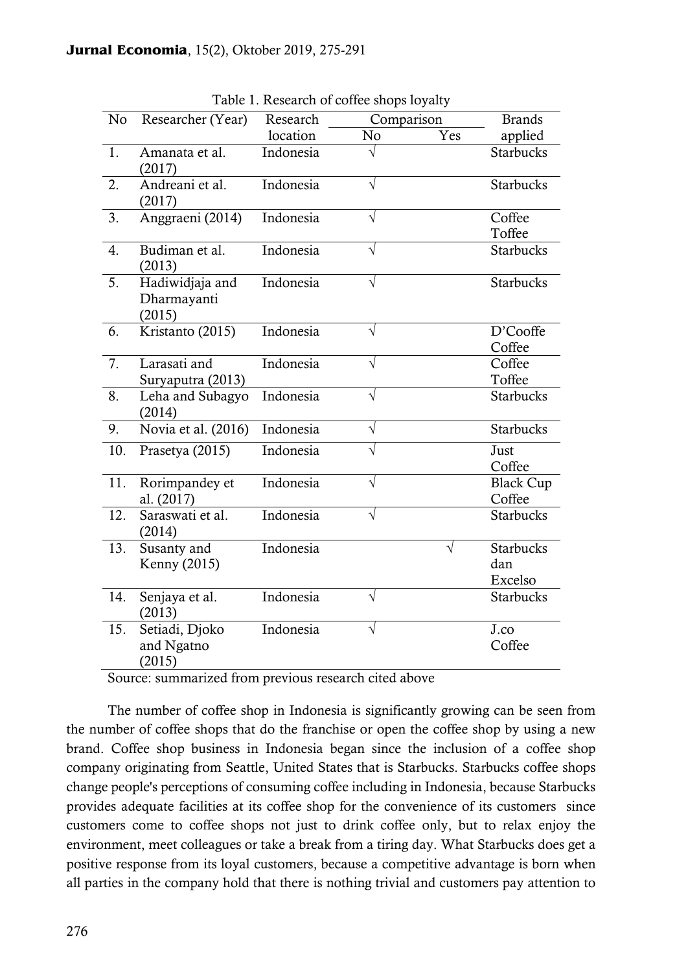| No  | Researcher (Year)                        | Research  | Comparison |           | <b>Brands</b>                      |
|-----|------------------------------------------|-----------|------------|-----------|------------------------------------|
|     |                                          | location  | No         | Yes       | applied                            |
| 1.  | Amanata et al.<br>(2017)                 | Indonesia | $\sqrt{}$  |           | <b>Starbucks</b>                   |
| 2.  | Andreani et al.<br>(2017)                | Indonesia | $\sqrt{}$  |           | <b>Starbucks</b>                   |
| 3.  | Anggraeni (2014)                         | Indonesia | $\sqrt{}$  |           | Coffee<br>Toffee                   |
| 4.  | Budiman et al.<br>(2013)                 | Indonesia | $\sqrt{}$  |           | Starbucks                          |
| 5.  | Hadiwidjaja and<br>Dharmayanti<br>(2015) | Indonesia | $\sqrt{}$  |           | <b>Starbucks</b>                   |
| 6.  | Kristanto (2015)                         | Indonesia | $\sqrt{}$  |           | D'Cooffe<br>Coffee                 |
| 7.  | Larasati and<br>Suryaputra (2013)        | Indonesia | $\sqrt{}$  |           | Coffee<br>Toffee                   |
| 8.  | Leha and Subagyo<br>(2014)               | Indonesia | $\sqrt{}$  |           | <b>Starbucks</b>                   |
| 9.  | Novia et al. (2016)                      | Indonesia | $\sqrt{}$  |           | <b>Starbucks</b>                   |
| 10. | Prasetya (2015)                          | Indonesia | $\sqrt{}$  |           | Just<br>Coffee                     |
| 11. | Rorimpandey et<br>al. (2017)             | Indonesia | $\sqrt{}$  |           | <b>Black Cup</b><br>Coffee         |
| 12. | Saraswati et al.<br>(2014)               | Indonesia | $\sqrt{}$  |           | <b>Starbucks</b>                   |
| 13. | Susanty and<br>Kenny (2015)              | Indonesia |            | $\sqrt{}$ | <b>Starbucks</b><br>dan<br>Excelso |
| 14. | Senjaya et al.<br>(2013)                 | Indonesia | $\sqrt{}$  |           | <b>Starbucks</b>                   |
| 15. | Setiadi, Djoko<br>and Ngatno<br>(2015)   | Indonesia | $\sqrt{}$  |           | J.co<br>Coffee                     |

Table 1. Research of coffee shops loyalty

Source: summarized from previous research cited above

The number of coffee shop in Indonesia is significantly growing can be seen from the number of coffee shops that do the franchise or open the coffee shop by using a new brand. Coffee shop business in Indonesia began since the inclusion of a coffee shop company originating from Seattle, United States that is Starbucks. Starbucks coffee shops change people's perceptions of consuming coffee including in Indonesia, because Starbucks provides adequate facilities at its coffee shop for the convenience of its customers since customers come to coffee shops not just to drink coffee only, but to relax enjoy the environment, meet colleagues or take a break from a tiring day. What Starbucks does get a positive response from its loyal customers, because a competitive advantage is born when all parties in the company hold that there is nothing trivial and customers pay attention to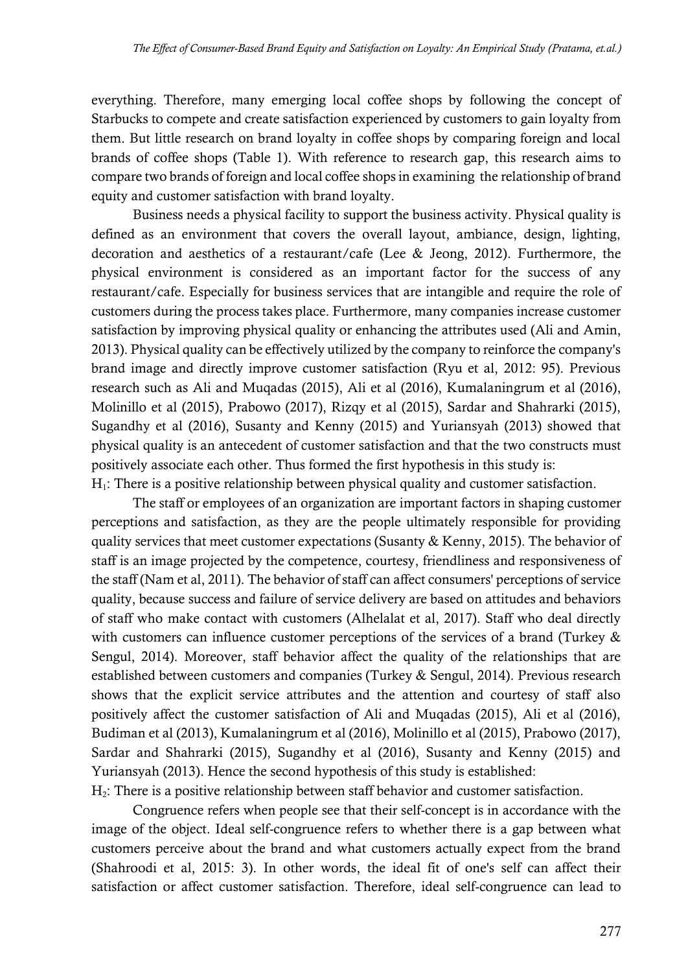everything. Therefore, many emerging local coffee shops by following the concept of Starbucks to compete and create satisfaction experienced by customers to gain loyalty from them. But little research on brand loyalty in coffee shops by comparing foreign and local brands of coffee shops (Table 1). With reference to research gap, this research aims to compare two brands of foreign and local coffee shops in examining the relationship of brand equity and customer satisfaction with brand loyalty.

Business needs a physical facility to support the business activity. Physical quality is defined as an environment that covers the overall layout, ambiance, design, lighting, decoration and aesthetics of a restaurant/cafe (Lee & Jeong, 2012). Furthermore, the physical environment is considered as an important factor for the success of any restaurant/cafe. Especially for business services that are intangible and require the role of customers during the process takes place. Furthermore, many companies increase customer satisfaction by improving physical quality or enhancing the attributes used (Ali and Amin, 2013). Physical quality can be effectively utilized by the company to reinforce the company's brand image and directly improve customer satisfaction (Ryu et al, 2012: 95). Previous research such as Ali and Muqadas (2015), Ali et al (2016), Kumalaningrum et al (2016), Molinillo et al (2015), Prabowo (2017), Rizqy et al (2015), Sardar and Shahrarki (2015), Sugandhy et al (2016), Susanty and Kenny (2015) and Yuriansyah (2013) showed that physical quality is an antecedent of customer satisfaction and that the two constructs must positively associate each other. Thus formed the first hypothesis in this study is:  $H<sub>1</sub>$ : There is a positive relationship between physical quality and customer satisfaction.

The staff or employees of an organization are important factors in shaping customer perceptions and satisfaction, as they are the people ultimately responsible for providing quality services that meet customer expectations (Susanty & Kenny, 2015). The behavior of staff is an image projected by the competence, courtesy, friendliness and responsiveness of the staff (Nam et al, 2011). The behavior of staff can affect consumers' perceptions of service quality, because success and failure of service delivery are based on attitudes and behaviors of staff who make contact with customers (Alhelalat et al, 2017). Staff who deal directly with customers can influence customer perceptions of the services of a brand (Turkey & Sengul, 2014). Moreover, staff behavior affect the quality of the relationships that are established between customers and companies (Turkey & Sengul, 2014). Previous research shows that the explicit service attributes and the attention and courtesy of staff also positively affect the customer satisfaction of Ali and Muqadas (2015), Ali et al (2016), Budiman et al (2013), Kumalaningrum et al (2016), Molinillo et al (2015), Prabowo (2017), Sardar and Shahrarki (2015), Sugandhy et al (2016), Susanty and Kenny (2015) and Yuriansyah (2013). Hence the second hypothesis of this study is established:  $H<sub>2</sub>$ : There is a positive relationship between staff behavior and customer satisfaction.

Congruence refers when people see that their self-concept is in accordance with the image of the object. Ideal self-congruence refers to whether there is a gap between what customers perceive about the brand and what customers actually expect from the brand (Shahroodi et al, 2015: 3). In other words, the ideal fit of one's self can affect their satisfaction or affect customer satisfaction. Therefore, ideal self-congruence can lead to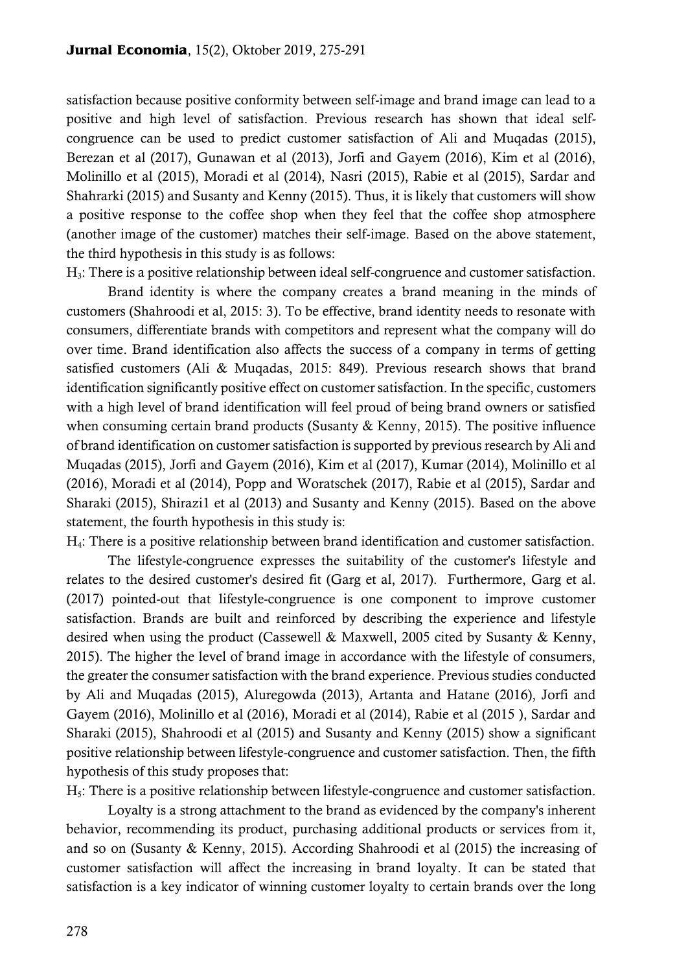satisfaction because positive conformity between self-image and brand image can lead to a positive and high level of satisfaction. Previous research has shown that ideal selfcongruence can be used to predict customer satisfaction of Ali and Muqadas (2015), Berezan et al (2017), Gunawan et al (2013), Jorfi and Gayem (2016), Kim et al (2016), Molinillo et al (2015), Moradi et al (2014), Nasri (2015), Rabie et al (2015), Sardar and Shahrarki (2015) and Susanty and Kenny (2015). Thus, it is likely that customers will show a positive response to the coffee shop when they feel that the coffee shop atmosphere (another image of the customer) matches their self-image. Based on the above statement, the third hypothesis in this study is as follows:

H3: There is a positive relationship between ideal self-congruence and customer satisfaction.

Brand identity is where the company creates a brand meaning in the minds of customers (Shahroodi et al, 2015: 3). To be effective, brand identity needs to resonate with consumers, differentiate brands with competitors and represent what the company will do over time. Brand identification also affects the success of a company in terms of getting satisfied customers (Ali & Muqadas, 2015: 849). Previous research shows that brand identification significantly positive effect on customer satisfaction. In the specific, customers with a high level of brand identification will feel proud of being brand owners or satisfied when consuming certain brand products (Susanty & Kenny, 2015). The positive influence of brand identification on customer satisfaction is supported by previous research by Ali and Muqadas (2015), Jorfi and Gayem (2016), Kim et al (2017), Kumar (2014), Molinillo et al (2016), Moradi et al (2014), Popp and Woratschek (2017), Rabie et al (2015), Sardar and Sharaki (2015), Shirazi1 et al (2013) and Susanty and Kenny (2015). Based on the above statement, the fourth hypothesis in this study is:

H4: There is a positive relationship between brand identification and customer satisfaction.

The lifestyle-congruence expresses the suitability of the customer's lifestyle and relates to the desired customer's desired fit (Garg et al, 2017). Furthermore, Garg et al. (2017) pointed-out that lifestyle-congruence is one component to improve customer satisfaction. Brands are built and reinforced by describing the experience and lifestyle desired when using the product (Cassewell & Maxwell, 2005 cited by Susanty & Kenny, 2015). The higher the level of brand image in accordance with the lifestyle of consumers, the greater the consumer satisfaction with the brand experience. Previous studies conducted by Ali and Muqadas (2015), Aluregowda (2013), Artanta and Hatane (2016), Jorfi and Gayem (2016), Molinillo et al (2016), Moradi et al (2014), Rabie et al (2015 ), Sardar and Sharaki (2015), Shahroodi et al (2015) and Susanty and Kenny (2015) show a significant positive relationship between lifestyle-congruence and customer satisfaction. Then, the fifth hypothesis of this study proposes that:

H5: There is a positive relationship between lifestyle-congruence and customer satisfaction.

Loyalty is a strong attachment to the brand as evidenced by the company's inherent behavior, recommending its product, purchasing additional products or services from it, and so on (Susanty & Kenny, 2015). According Shahroodi et al (2015) the increasing of customer satisfaction will affect the increasing in brand loyalty. It can be stated that satisfaction is a key indicator of winning customer loyalty to certain brands over the long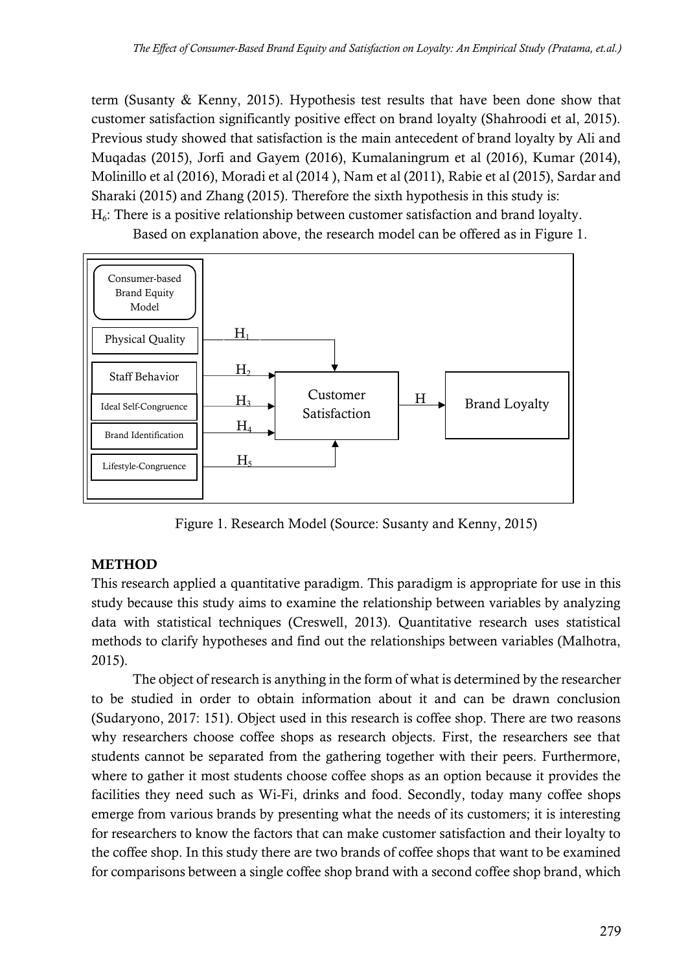term (Susanty & Kenny, 2015). Hypothesis test results that have been done show that customer satisfaction significantly positive effect on brand loyalty (Shahroodi et al, 2015). Previous study showed that satisfaction is the main antecedent of brand loyalty by Ali and Muqadas (2015), Jorfi and Gayem (2016), Kumalaningrum et al (2016), Kumar (2014), Molinillo et al (2016), Moradi et al (2014 ), Nam et al (2011), Rabie et al (2015), Sardar and Sharaki (2015) and Zhang (2015). Therefore the sixth hypothesis in this study is:  $H<sub>6</sub>$ : There is a positive relationship between customer satisfaction and brand loyalty.



Based on explanation above, the research model can be offered as in Figure 1.

Figure 1. Research Model (Source: Susanty and Kenny, 2015)

## **METHOD**

This research applied a quantitative paradigm. This paradigm is appropriate for use in this study because this study aims to examine the relationship between variables by analyzing data with statistical techniques (Creswell, 2013). Quantitative research uses statistical methods to clarify hypotheses and find out the relationships between variables (Malhotra, 2015).

The object of research is anything in the form of what is determined by the researcher to be studied in order to obtain information about it and can be drawn conclusion (Sudaryono, 2017: 151). Object used in this research is coffee shop. There are two reasons why researchers choose coffee shops as research objects. First, the researchers see that students cannot be separated from the gathering together with their peers. Furthermore, where to gather it most students choose coffee shops as an option because it provides the facilities they need such as Wi-Fi, drinks and food. Secondly, today many coffee shops emerge from various brands by presenting what the needs of its customers; it is interesting for researchers to know the factors that can make customer satisfaction and their loyalty to the coffee shop. In this study there are two brands of coffee shops that want to be examined for comparisons between a single coffee shop brand with a second coffee shop brand, which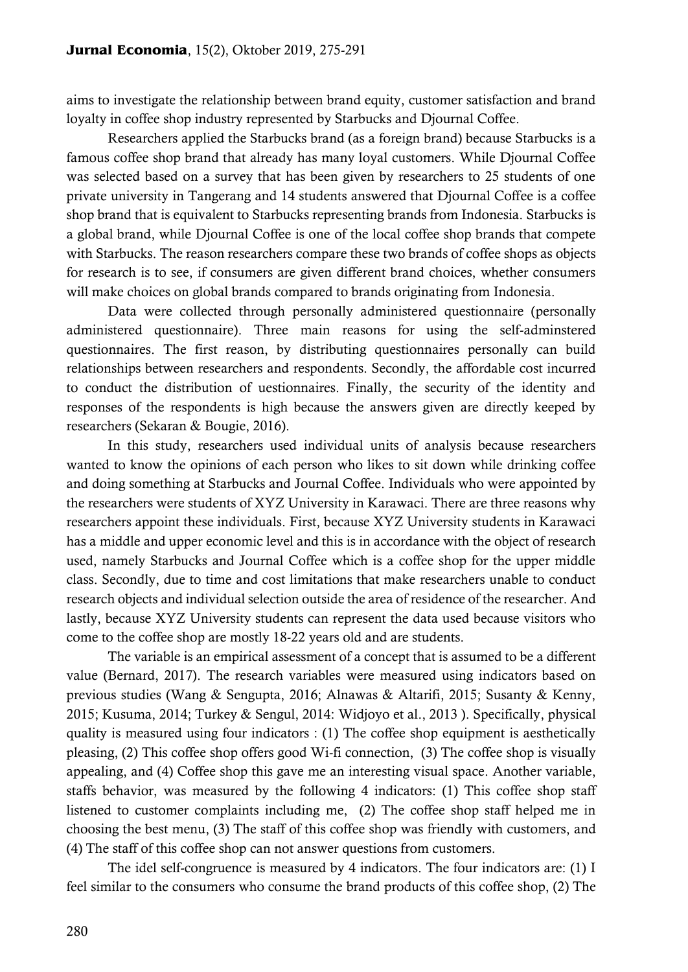aims to investigate the relationship between brand equity, customer satisfaction and brand loyalty in coffee shop industry represented by Starbucks and Djournal Coffee.

Researchers applied the Starbucks brand (as a foreign brand) because Starbucks is a famous coffee shop brand that already has many loyal customers. While Djournal Coffee was selected based on a survey that has been given by researchers to 25 students of one private university in Tangerang and 14 students answered that Djournal Coffee is a coffee shop brand that is equivalent to Starbucks representing brands from Indonesia. Starbucks is a global brand, while Djournal Coffee is one of the local coffee shop brands that compete with Starbucks. The reason researchers compare these two brands of coffee shops as objects for research is to see, if consumers are given different brand choices, whether consumers will make choices on global brands compared to brands originating from Indonesia.

Data were collected through personally administered questionnaire (personally administered questionnaire). Three main reasons for using the self-adminstered questionnaires. The first reason, by distributing questionnaires personally can build relationships between researchers and respondents. Secondly, the affordable cost incurred to conduct the distribution of uestionnaires. Finally, the security of the identity and responses of the respondents is high because the answers given are directly keeped by researchers (Sekaran & Bougie, 2016).

In this study, researchers used individual units of analysis because researchers wanted to know the opinions of each person who likes to sit down while drinking coffee and doing something at Starbucks and Journal Coffee. Individuals who were appointed by the researchers were students of XYZ University in Karawaci. There are three reasons why researchers appoint these individuals. First, because XYZ University students in Karawaci has a middle and upper economic level and this is in accordance with the object of research used, namely Starbucks and Journal Coffee which is a coffee shop for the upper middle class. Secondly, due to time and cost limitations that make researchers unable to conduct research objects and individual selection outside the area of residence of the researcher. And lastly, because XYZ University students can represent the data used because visitors who come to the coffee shop are mostly 18-22 years old and are students.

The variable is an empirical assessment of a concept that is assumed to be a different value (Bernard, 2017). The research variables were measured using indicators based on previous studies (Wang & Sengupta, 2016; Alnawas & Altarifi, 2015; Susanty & Kenny, 2015; Kusuma, 2014; Turkey & Sengul, 2014: Widjoyo et al., 2013 ). Specifically, physical quality is measured using four indicators : (1) The coffee shop equipment is aesthetically pleasing, (2) This coffee shop offers good Wi-fi connection, (3) The coffee shop is visually appealing, and (4) Coffee shop this gave me an interesting visual space. Another variable, staffs behavior, was measured by the following 4 indicators: (1) This coffee shop staff listened to customer complaints including me, (2) The coffee shop staff helped me in choosing the best menu, (3) The staff of this coffee shop was friendly with customers, and (4) The staff of this coffee shop can not answer questions from customers.

The idel self-congruence is measured by 4 indicators. The four indicators are: (1) I feel similar to the consumers who consume the brand products of this coffee shop, (2) The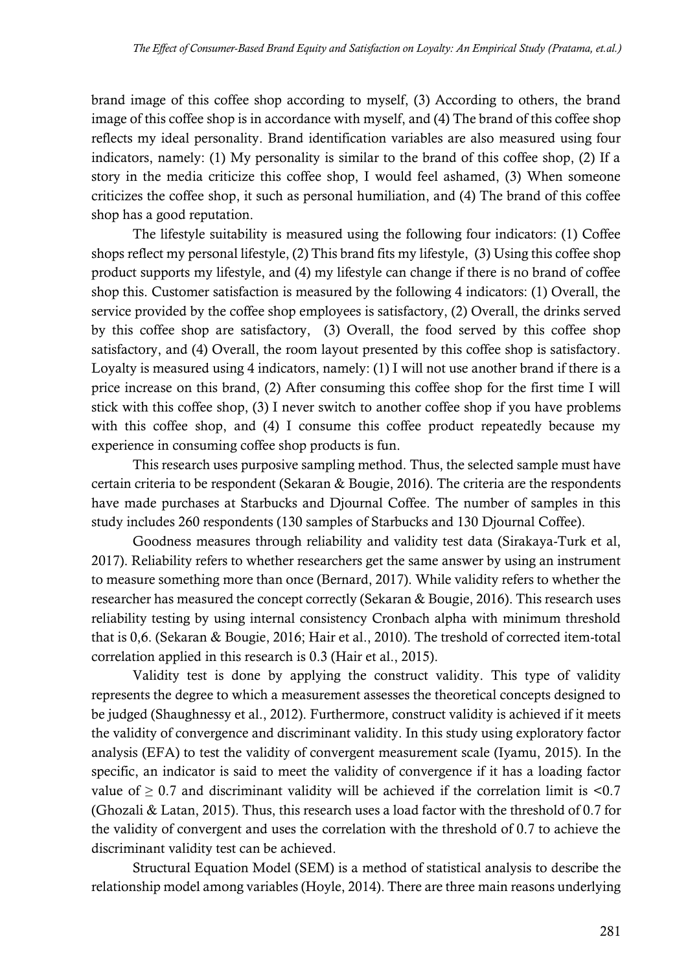brand image of this coffee shop according to myself, (3) According to others, the brand image of this coffee shop is in accordance with myself, and (4) The brand of this coffee shop reflects my ideal personality. Brand identification variables are also measured using four indicators, namely: (1) My personality is similar to the brand of this coffee shop, (2) If a story in the media criticize this coffee shop, I would feel ashamed, (3) When someone criticizes the coffee shop, it such as personal humiliation, and (4) The brand of this coffee shop has a good reputation.

The lifestyle suitability is measured using the following four indicators: (1) Coffee shops reflect my personal lifestyle, (2) This brand fits my lifestyle, (3) Using this coffee shop product supports my lifestyle, and (4) my lifestyle can change if there is no brand of coffee shop this. Customer satisfaction is measured by the following 4 indicators: (1) Overall, the service provided by the coffee shop employees is satisfactory, (2) Overall, the drinks served by this coffee shop are satisfactory, (3) Overall, the food served by this coffee shop satisfactory, and (4) Overall, the room layout presented by this coffee shop is satisfactory. Loyalty is measured using 4 indicators, namely: (1) I will not use another brand if there is a price increase on this brand, (2) After consuming this coffee shop for the first time I will stick with this coffee shop, (3) I never switch to another coffee shop if you have problems with this coffee shop, and (4) I consume this coffee product repeatedly because my experience in consuming coffee shop products is fun.

This research uses purposive sampling method. Thus, the selected sample must have certain criteria to be respondent (Sekaran & Bougie, 2016). The criteria are the respondents have made purchases at Starbucks and Djournal Coffee. The number of samples in this study includes 260 respondents (130 samples of Starbucks and 130 Djournal Coffee).

Goodness measures through reliability and validity test data (Sirakaya-Turk et al, 2017). Reliability refers to whether researchers get the same answer by using an instrument to measure something more than once (Bernard, 2017). While validity refers to whether the researcher has measured the concept correctly (Sekaran & Bougie, 2016). This research uses reliability testing by using internal consistency Cronbach alpha with minimum threshold that is 0,6. (Sekaran & Bougie, 2016; Hair et al., 2010). The treshold of corrected item-total correlation applied in this research is 0.3 (Hair et al., 2015).

Validity test is done by applying the construct validity. This type of validity represents the degree to which a measurement assesses the theoretical concepts designed to be judged (Shaughnessy et al., 2012). Furthermore, construct validity is achieved if it meets the validity of convergence and discriminant validity. In this study using exploratory factor analysis (EFA) to test the validity of convergent measurement scale (Iyamu, 2015). In the specific, an indicator is said to meet the validity of convergence if it has a loading factor value of  $\geq 0.7$  and discriminant validity will be achieved if the correlation limit is <0.7 (Ghozali & Latan, 2015). Thus, this research uses a load factor with the threshold of 0.7 for the validity of convergent and uses the correlation with the threshold of 0.7 to achieve the discriminant validity test can be achieved.

Structural Equation Model (SEM) is a method of statistical analysis to describe the relationship model among variables (Hoyle, 2014). There are three main reasons underlying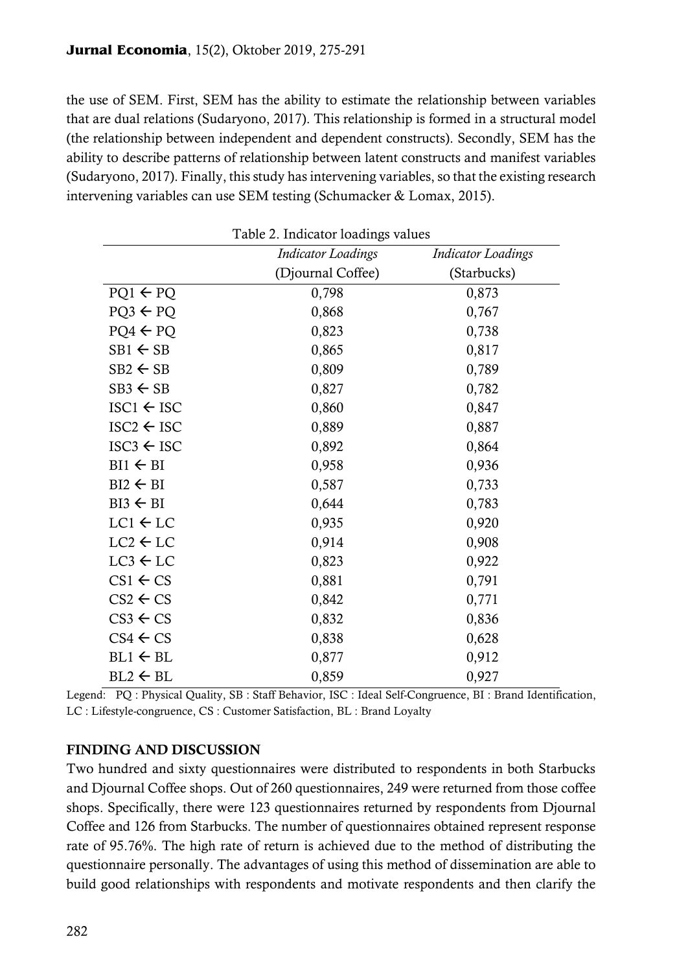the use of SEM. First, SEM has the ability to estimate the relationship between variables that are dual relations (Sudaryono, 2017). This relationship is formed in a structural model (the relationship between independent and dependent constructs). Secondly, SEM has the ability to describe patterns of relationship between latent constructs and manifest variables (Sudaryono, 2017). Finally, this study has intervening variables, so that the existing research intervening variables can use SEM testing (Schumacker & Lomax, 2015).

|                       | <b>Indicator Loadings</b> | <b>Indicator Loadings</b> |
|-----------------------|---------------------------|---------------------------|
|                       | (Djournal Coffee)         | (Starbucks)               |
| $PQ1 \leftarrow PQ$   | 0,798                     | 0,873                     |
| $PQ3 \leftarrow PQ$   | 0,868                     | 0,767                     |
| $PQ4 \leftarrow PQ$   | 0,823                     | 0,738                     |
| $SB1 \leftarrow SB$   | 0,865                     | 0,817                     |
| $SB2 \leftarrow SB$   | 0,809                     | 0,789                     |
| $SB3 \leftarrow SB$   | 0,827                     | 0,782                     |
| $ISC1 \leftarrow ISC$ | 0,860                     | 0,847                     |
| $ISC2 \leftarrow ISC$ | 0,889                     | 0,887                     |
| $ISC3 \leftarrow ISC$ | 0,892                     | 0,864                     |
| $BI1 \leftarrow BI$   | 0,958                     | 0,936                     |
| $BI2 \leftarrow BI$   | 0,587                     | 0,733                     |
| $BI3 \leftarrow BI$   | 0,644                     | 0,783                     |
| $LC1 \leftarrow LC$   | 0,935                     | 0,920                     |
| $LC2 \leftarrow LC$   | 0,914                     | 0,908                     |
| $LC3 \leftarrow LC$   | 0,823                     | 0,922                     |
| $CS1 \leftarrow CS$   | 0,881                     | 0,791                     |
| $CS2 \leftarrow CS$   | 0,842                     | 0,771                     |
| $CS3 \leftarrow CS$   | 0,832                     | 0,836                     |
| $CS4 \leftarrow CS$   | 0,838                     | 0,628                     |
| $BL1 \leftarrow BL$   | 0,877                     | 0,912                     |
| $BL2 \leftarrow BL$   | 0,859                     | 0,927                     |

Table 2. Indicator loadings values

Legend: PQ : Physical Quality, SB : Staff Behavior, ISC : Ideal Self-Congruence, BI : Brand Identification, LC : Lifestyle-congruence, CS : Customer Satisfaction, BL : Brand Loyalty

## FINDING AND DISCUSSION

Two hundred and sixty questionnaires were distributed to respondents in both Starbucks and Djournal Coffee shops. Out of 260 questionnaires, 249 were returned from those coffee shops. Specifically, there were 123 questionnaires returned by respondents from Djournal Coffee and 126 from Starbucks. The number of questionnaires obtained represent response rate of 95.76%. The high rate of return is achieved due to the method of distributing the questionnaire personally. The advantages of using this method of dissemination are able to build good relationships with respondents and motivate respondents and then clarify the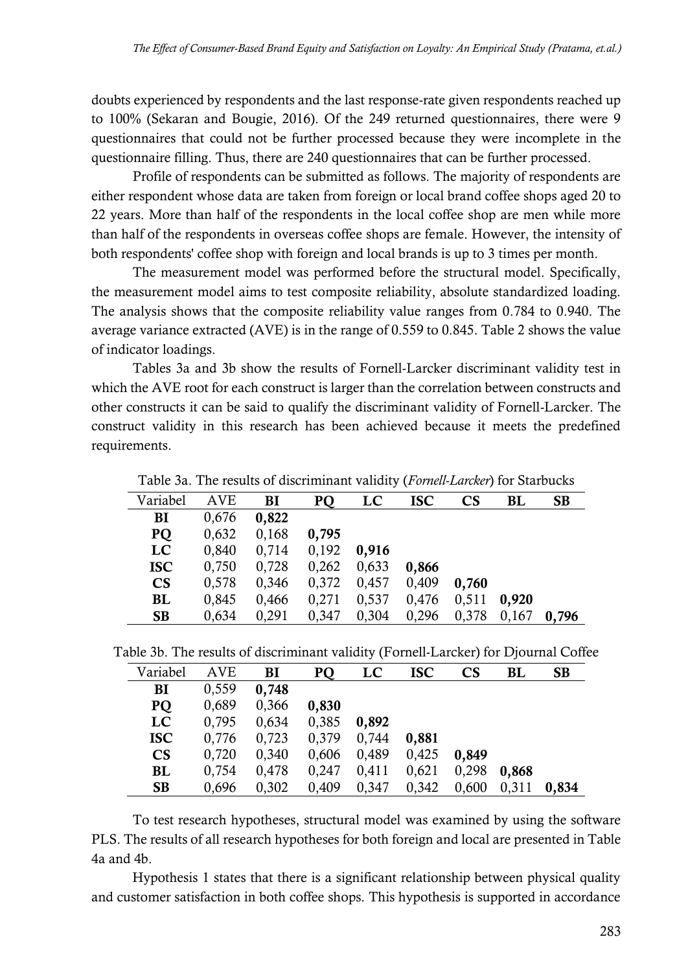doubts experienced by respondents and the last response-rate given respondents reached up to 100% (Sekaran and Bougie, 2016). Of the 249 returned questionnaires, there were 9 questionnaires that could not be further processed because they were incomplete in the questionnaire filling. Thus, there are 240 questionnaires that can be further processed.

Profile of respondents can be submitted as follows. The majority of respondents are either respondent whose data are taken from foreign or local brand coffee shops aged 20 to 22 years. More than half of the respondents in the local coffee shop are men while more than half of the respondents in overseas coffee shops are female. However, the intensity of both respondents' coffee shop with foreign and local brands is up to 3 times per month.

The measurement model was performed before the structural model. Specifically, the measurement model aims to test composite reliability, absolute standardized loading. The analysis shows that the composite reliability value ranges from 0.784 to 0.940. The average variance extracted (AVE) is in the range of 0.559 to 0.845. Table 2 shows the value of indicator loadings.

Tables 3a and 3b show the results of Fornell-Larcker discriminant validity test in which the AVE root for each construct is larger than the correlation between constructs and other constructs it can be said to qualify the discriminant validity of Fornell-Larcker. The construct validity in this research has been achieved because it meets the predefined requirements.

| Variabel               | <b>AVE</b> | BI    | PQ    | LC    | <b>ISC</b> | $\mathbf{C}\mathbf{S}$ | BL    | <b>SB</b> |
|------------------------|------------|-------|-------|-------|------------|------------------------|-------|-----------|
| BI                     | 0,676      | 0,822 |       |       |            |                        |       |           |
| PQ                     | 0,632      | 0,168 | 0,795 |       |            |                        |       |           |
| LC                     | 0,840      | 0,714 | 0,192 | 0,916 |            |                        |       |           |
| <b>ISC</b>             | 0,750      | 0,728 | 0,262 | 0,633 | 0,866      |                        |       |           |
| $\mathbf{C}\mathbf{S}$ | 0,578      | 0,346 | 0,372 | 0,457 | 0,409      | 0,760                  |       |           |
| BL                     | 0,845      | 0,466 | 0,271 | 0,537 | 0,476      | 0,511                  | 0,920 |           |
| <b>SB</b>              | 0,634      | 0,291 | 0,347 | 0,304 | 0,296      | 0,378                  | 0,167 | 0,796     |
|                        |            |       |       |       |            |                        |       |           |

Table 3a. The results of discriminant validity (*Fornell-Larcker*) for Starbucks

Table 3b. The results of discriminant validity (Fornell-Larcker) for Djournal Coffee

| Variabel               | <b>AVE</b> | BI    | <b>PQ</b> | LC    | <b>ISC</b> | $\mathbf{C}\mathbf{S}$ | BL    | <b>SB</b> |
|------------------------|------------|-------|-----------|-------|------------|------------------------|-------|-----------|
| BI                     | 0,559      | 0,748 |           |       |            |                        |       |           |
| PQ                     | 0,689      | 0,366 | 0,830     |       |            |                        |       |           |
| LC                     | 0,795      | 0,634 | 0,385     | 0,892 |            |                        |       |           |
| <b>ISC</b>             | 0,776      | 0,723 | 0,379     | 0,744 | 0,881      |                        |       |           |
| $\mathbf{C}\mathbf{S}$ | 0,720      | 0,340 | 0,606     | 0,489 | 0,425      | 0,849                  |       |           |
| BL                     | 0,754      | 0,478 | 0,247     | 0,411 | 0,621      | 0,298                  | 0,868 |           |
| <b>SB</b>              | 0.696      | 0,302 | 0,409     | 0,347 | 0,342      | 0,600                  | 0,311 | 0,834     |

To test research hypotheses, structural model was examined by using the software PLS. The results of all research hypotheses for both foreign and local are presented in Table 4a and 4b.

Hypothesis 1 states that there is a significant relationship between physical quality and customer satisfaction in both coffee shops. This hypothesis is supported in accordance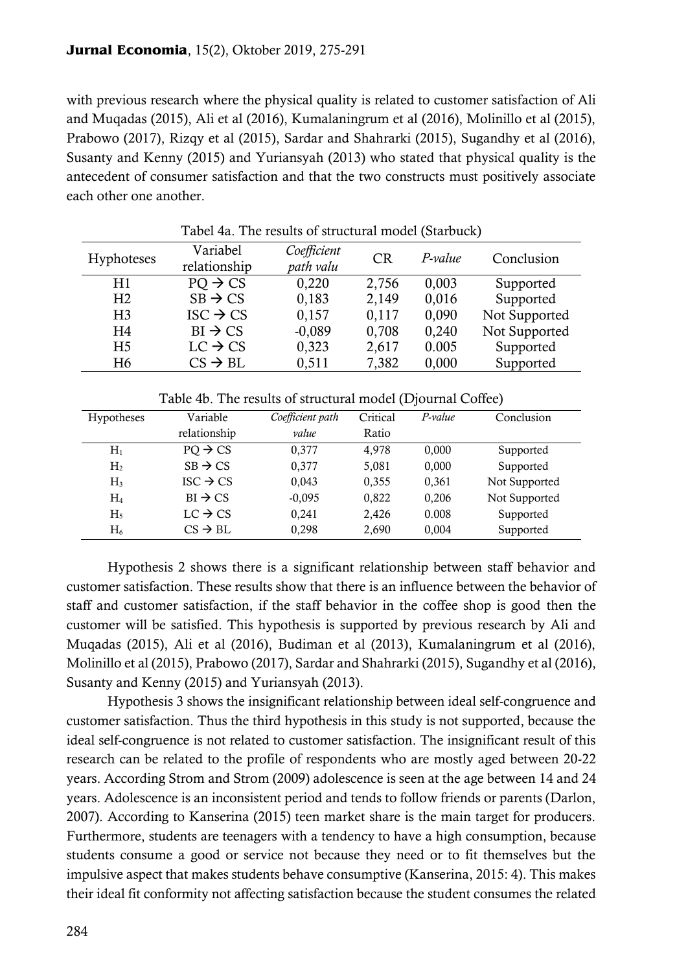with previous research where the physical quality is related to customer satisfaction of Ali and Muqadas (2015), Ali et al (2016), Kumalaningrum et al (2016), Molinillo et al (2015), Prabowo (2017), Rizqy et al (2015), Sardar and Shahrarki (2015), Sugandhy et al (2016), Susanty and Kenny (2015) and Yuriansyah (2013) who stated that physical quality is the antecedent of consumer satisfaction and that the two constructs must positively associate each other one another.

| Tabel 4a. The results of structural model (Starbuck) |                      |             |           |         |               |  |  |
|------------------------------------------------------|----------------------|-------------|-----------|---------|---------------|--|--|
| <b>Hyphoteses</b>                                    | Variabel             | Coefficient | <b>CR</b> | P-value | Conclusion    |  |  |
|                                                      | relationship         | path valu   |           |         |               |  |  |
| H1                                                   | $PO \rightarrow CS$  | 0,220       | 2,756     | 0,003   | Supported     |  |  |
| H <sub>2</sub>                                       | $SB \rightarrow CS$  | 0,183       | 2,149     | 0,016   | Supported     |  |  |
| H <sub>3</sub>                                       | $ISC \rightarrow CS$ | 0,157       | 0,117     | 0,090   | Not Supported |  |  |
| H <sub>4</sub>                                       | $BI \rightarrow CS$  | $-0,089$    | 0,708     | 0,240   | Not Supported |  |  |
| H <sub>5</sub>                                       | $LC \rightarrow CS$  | 0,323       | 2,617     | 0.005   | Supported     |  |  |
| H <sub>6</sub>                                       | $CS \rightarrow BL$  | 0,511       | 7,382     | 0,000   | Supported     |  |  |

|                | Table 40. The results of structural model (DJournal Conce) |          |          |         |               |  |  |
|----------------|------------------------------------------------------------|----------|----------|---------|---------------|--|--|
| Hypotheses     | Variable                                                   |          | Critical | P-value | Conclusion    |  |  |
|                | relationship                                               | value    | Ratio    |         |               |  |  |
| $H_1$          | $PO \rightarrow CS$                                        | 0.377    | 4,978    | 0,000   | Supported     |  |  |
| H <sub>2</sub> | $SB \rightarrow CS$                                        | 0,377    | 5,081    | 0,000   | Supported     |  |  |
| $H_3$          | $ISC \rightarrow CS$                                       | 0,043    | 0,355    | 0,361   | Not Supported |  |  |
| $H_4$          | $BI \rightarrow CS$                                        | $-0,095$ | 0,822    | 0,206   | Not Supported |  |  |
| $H_5$          | $LC \rightarrow CS$                                        | 0,241    | 2,426    | 0.008   | Supported     |  |  |
| $H_6$          | $CS \rightarrow BL$                                        | 0,298    | 2,690    | 0,004   | Supported     |  |  |

Table 4b. The results of structural model (Djournal Coffee)

Hypothesis 2 shows there is a significant relationship between staff behavior and customer satisfaction. These results show that there is an influence between the behavior of staff and customer satisfaction, if the staff behavior in the coffee shop is good then the customer will be satisfied. This hypothesis is supported by previous research by Ali and Muqadas (2015), Ali et al (2016), Budiman et al (2013), Kumalaningrum et al (2016), Molinillo et al (2015), Prabowo (2017), Sardar and Shahrarki (2015), Sugandhy et al (2016), Susanty and Kenny (2015) and Yuriansyah (2013).

Hypothesis 3 shows the insignificant relationship between ideal self-congruence and customer satisfaction. Thus the third hypothesis in this study is not supported, because the ideal self-congruence is not related to customer satisfaction. The insignificant result of this research can be related to the profile of respondents who are mostly aged between 20-22 years. According Strom and Strom (2009) adolescence is seen at the age between 14 and 24 years. Adolescence is an inconsistent period and tends to follow friends or parents (Darlon, 2007). According to Kanserina (2015) teen market share is the main target for producers. Furthermore, students are teenagers with a tendency to have a high consumption, because students consume a good or service not because they need or to fit themselves but the impulsive aspect that makes students behave consumptive (Kanserina, 2015: 4). This makes their ideal fit conformity not affecting satisfaction because the student consumes the related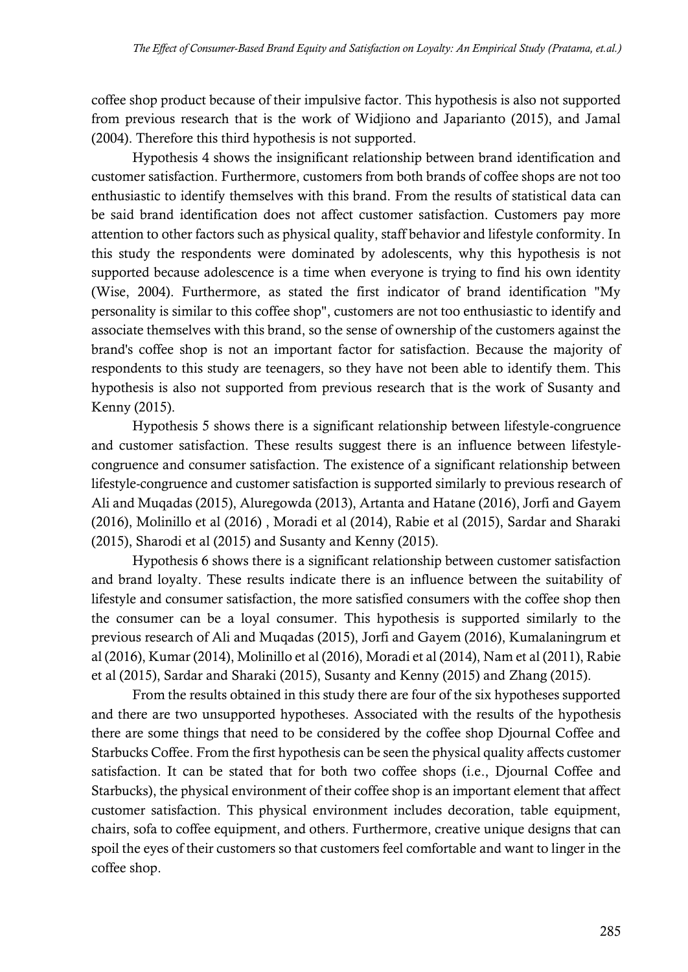coffee shop product because of their impulsive factor. This hypothesis is also not supported from previous research that is the work of Widjiono and Japarianto (2015), and Jamal (2004). Therefore this third hypothesis is not supported.

Hypothesis 4 shows the insignificant relationship between brand identification and customer satisfaction. Furthermore, customers from both brands of coffee shops are not too enthusiastic to identify themselves with this brand. From the results of statistical data can be said brand identification does not affect customer satisfaction. Customers pay more attention to other factors such as physical quality, staff behavior and lifestyle conformity. In this study the respondents were dominated by adolescents, why this hypothesis is not supported because adolescence is a time when everyone is trying to find his own identity (Wise, 2004). Furthermore, as stated the first indicator of brand identification "My personality is similar to this coffee shop", customers are not too enthusiastic to identify and associate themselves with this brand, so the sense of ownership of the customers against the brand's coffee shop is not an important factor for satisfaction. Because the majority of respondents to this study are teenagers, so they have not been able to identify them. This hypothesis is also not supported from previous research that is the work of Susanty and Kenny (2015).

Hypothesis 5 shows there is a significant relationship between lifestyle-congruence and customer satisfaction. These results suggest there is an influence between lifestylecongruence and consumer satisfaction. The existence of a significant relationship between lifestyle-congruence and customer satisfaction is supported similarly to previous research of Ali and Muqadas (2015), Aluregowda (2013), Artanta and Hatane (2016), Jorfi and Gayem (2016), Molinillo et al (2016) , Moradi et al (2014), Rabie et al (2015), Sardar and Sharaki (2015), Sharodi et al (2015) and Susanty and Kenny (2015).

Hypothesis 6 shows there is a significant relationship between customer satisfaction and brand loyalty. These results indicate there is an influence between the suitability of lifestyle and consumer satisfaction, the more satisfied consumers with the coffee shop then the consumer can be a loyal consumer. This hypothesis is supported similarly to the previous research of Ali and Muqadas (2015), Jorfi and Gayem (2016), Kumalaningrum et al (2016), Kumar (2014), Molinillo et al (2016), Moradi et al (2014), Nam et al (2011), Rabie et al (2015), Sardar and Sharaki (2015), Susanty and Kenny (2015) and Zhang (2015).

From the results obtained in this study there are four of the six hypotheses supported and there are two unsupported hypotheses. Associated with the results of the hypothesis there are some things that need to be considered by the coffee shop Djournal Coffee and Starbucks Coffee. From the first hypothesis can be seen the physical quality affects customer satisfaction. It can be stated that for both two coffee shops (i.e., Djournal Coffee and Starbucks), the physical environment of their coffee shop is an important element that affect customer satisfaction. This physical environment includes decoration, table equipment, chairs, sofa to coffee equipment, and others. Furthermore, creative unique designs that can spoil the eyes of their customers so that customers feel comfortable and want to linger in the coffee shop.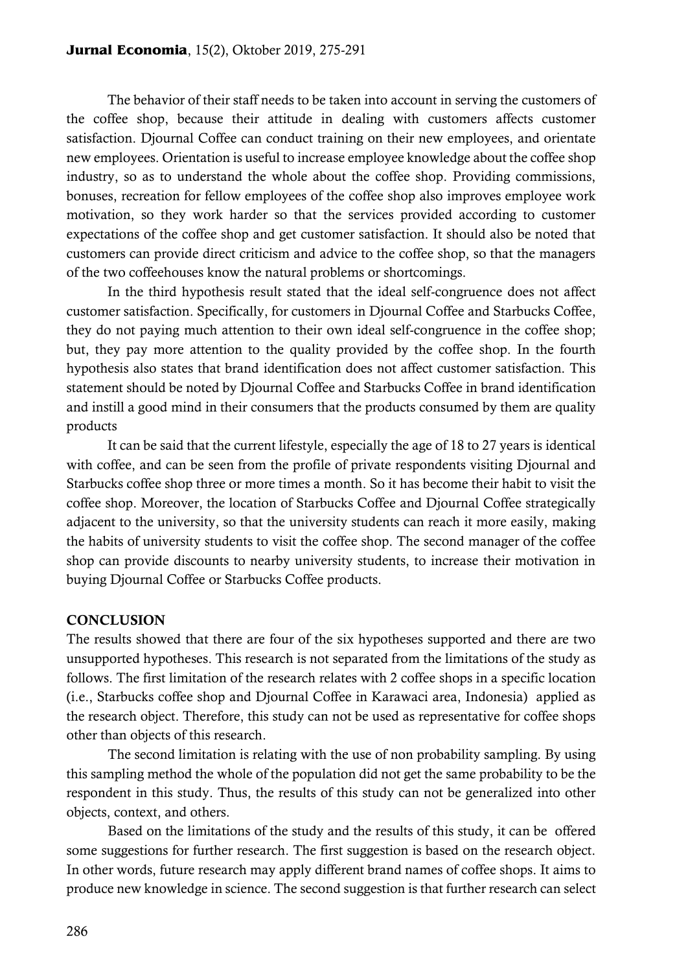The behavior of their staff needs to be taken into account in serving the customers of the coffee shop, because their attitude in dealing with customers affects customer satisfaction. Djournal Coffee can conduct training on their new employees, and orientate new employees. Orientation is useful to increase employee knowledge about the coffee shop industry, so as to understand the whole about the coffee shop. Providing commissions, bonuses, recreation for fellow employees of the coffee shop also improves employee work motivation, so they work harder so that the services provided according to customer expectations of the coffee shop and get customer satisfaction. It should also be noted that customers can provide direct criticism and advice to the coffee shop, so that the managers of the two coffeehouses know the natural problems or shortcomings.

In the third hypothesis result stated that the ideal self-congruence does not affect customer satisfaction. Specifically, for customers in Djournal Coffee and Starbucks Coffee, they do not paying much attention to their own ideal self-congruence in the coffee shop; but, they pay more attention to the quality provided by the coffee shop. In the fourth hypothesis also states that brand identification does not affect customer satisfaction. This statement should be noted by Djournal Coffee and Starbucks Coffee in brand identification and instill a good mind in their consumers that the products consumed by them are quality products

It can be said that the current lifestyle, especially the age of 18 to 27 years is identical with coffee, and can be seen from the profile of private respondents visiting Djournal and Starbucks coffee shop three or more times a month. So it has become their habit to visit the coffee shop. Moreover, the location of Starbucks Coffee and Djournal Coffee strategically adjacent to the university, so that the university students can reach it more easily, making the habits of university students to visit the coffee shop. The second manager of the coffee shop can provide discounts to nearby university students, to increase their motivation in buying Djournal Coffee or Starbucks Coffee products.

### **CONCLUSION**

The results showed that there are four of the six hypotheses supported and there are two unsupported hypotheses. This research is not separated from the limitations of the study as follows. The first limitation of the research relates with 2 coffee shops in a specific location (i.e., Starbucks coffee shop and Djournal Coffee in Karawaci area, Indonesia) applied as the research object. Therefore, this study can not be used as representative for coffee shops other than objects of this research.

The second limitation is relating with the use of non probability sampling. By using this sampling method the whole of the population did not get the same probability to be the respondent in this study. Thus, the results of this study can not be generalized into other objects, context, and others.

Based on the limitations of the study and the results of this study, it can be offered some suggestions for further research. The first suggestion is based on the research object. In other words, future research may apply different brand names of coffee shops. It aims to produce new knowledge in science. The second suggestion is that further research can select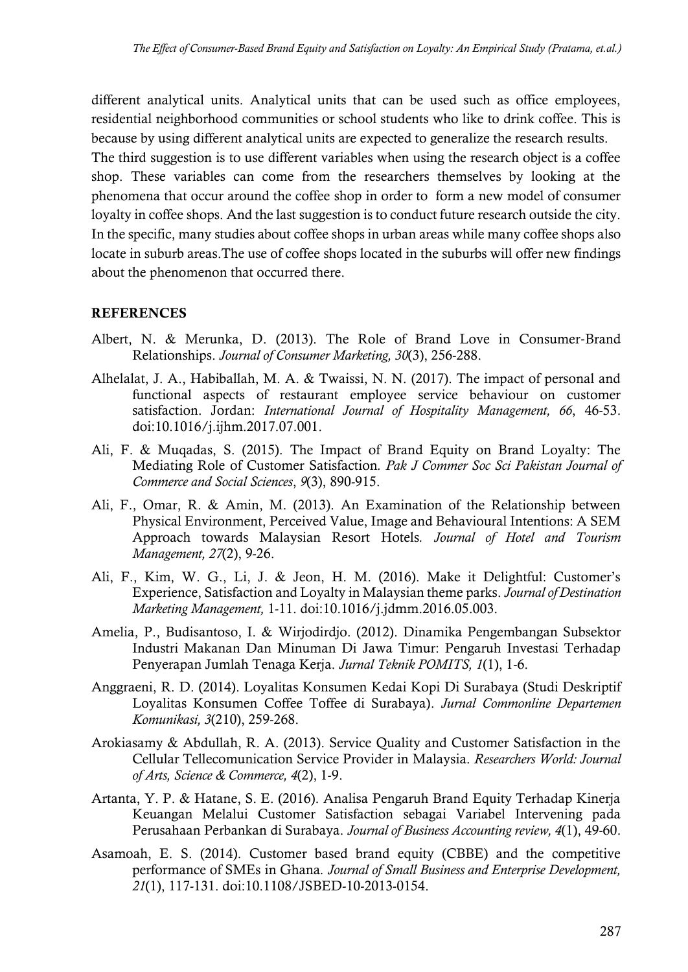different analytical units. Analytical units that can be used such as office employees, residential neighborhood communities or school students who like to drink coffee. This is because by using different analytical units are expected to generalize the research results.

The third suggestion is to use different variables when using the research object is a coffee shop. These variables can come from the researchers themselves by looking at the phenomena that occur around the coffee shop in order to form a new model of consumer loyalty in coffee shops. And the last suggestion is to conduct future research outside the city. In the specific, many studies about coffee shops in urban areas while many coffee shops also locate in suburb areas.The use of coffee shops located in the suburbs will offer new findings about the phenomenon that occurred there.

## **REFERENCES**

- Albert, N. & Merunka, D. (2013). The Role of Brand Love in Consumer‐Brand Relationships. *Journal of Consumer Marketing, 30*(3), 256-288.
- Alhelalat, J. A., Habiballah, M. A. & Twaissi, N. N. (2017). The impact of personal and functional aspects of restaurant employee service behaviour on customer satisfaction. Jordan: *International Journal of Hospitality Management, 66*, 46-53. doi:10.1016/j.ijhm.2017.07.001.
- Ali, F. & Muqadas, S. (2015). The Impact of Brand Equity on Brand Loyalty: The Mediating Role of Customer Satisfaction*. Pak J Commer Soc Sci Pakistan Journal of Commerce and Social Sciences*, *9*(3), 890-915.
- Ali, F., Omar, R. & Amin, M. (2013). An Examination of the Relationship between Physical Environment, Perceived Value, Image and Behavioural Intentions: A SEM Approach towards Malaysian Resort Hotels*. Journal of Hotel and Tourism Management, 27*(2), 9-26.
- Ali, F., Kim, W. G., Li, J. & Jeon, H. M. (2016). Make it Delightful: Customer's Experience, Satisfaction and Loyalty in Malaysian theme parks. *Journal of Destination Marketing Management,* 1-11. doi:10.1016/j.jdmm.2016.05.003.
- Amelia, P., Budisantoso, I. & Wirjodirdjo. (2012). Dinamika Pengembangan Subsektor Industri Makanan Dan Minuman Di Jawa Timur: Pengaruh Investasi Terhadap Penyerapan Jumlah Tenaga Kerja. *Jurnal Teknik POMITS, 1*(1), 1-6.
- Anggraeni, R. D. (2014). Loyalitas Konsumen Kedai Kopi Di Surabaya (Studi Deskriptif Loyalitas Konsumen Coffee Toffee di Surabaya). *Jurnal Commonline Departemen Komunikasi, 3*(210), 259-268.
- Arokiasamy & Abdullah, R. A. (2013). Service Quality and Customer Satisfaction in the Cellular Tellecomunication Service Provider in Malaysia. *Researchers World: Journal of Arts, Science & Commerce, 4*(2), 1-9.
- Artanta, Y. P. & Hatane, S. E. (2016). Analisa Pengaruh Brand Equity Terhadap Kinerja Keuangan Melalui Customer Satisfaction sebagai Variabel Intervening pada Perusahaan Perbankan di Surabaya. *Journal of Business Accounting review, 4*(1), 49-60.
- Asamoah, E. S. (2014). Customer based brand equity (CBBE) and the competitive performance of SMEs in Ghana*. Journal of Small Business and Enterprise Development, 21*(1), 117-131. doi:10.1108/JSBED-10-2013-0154.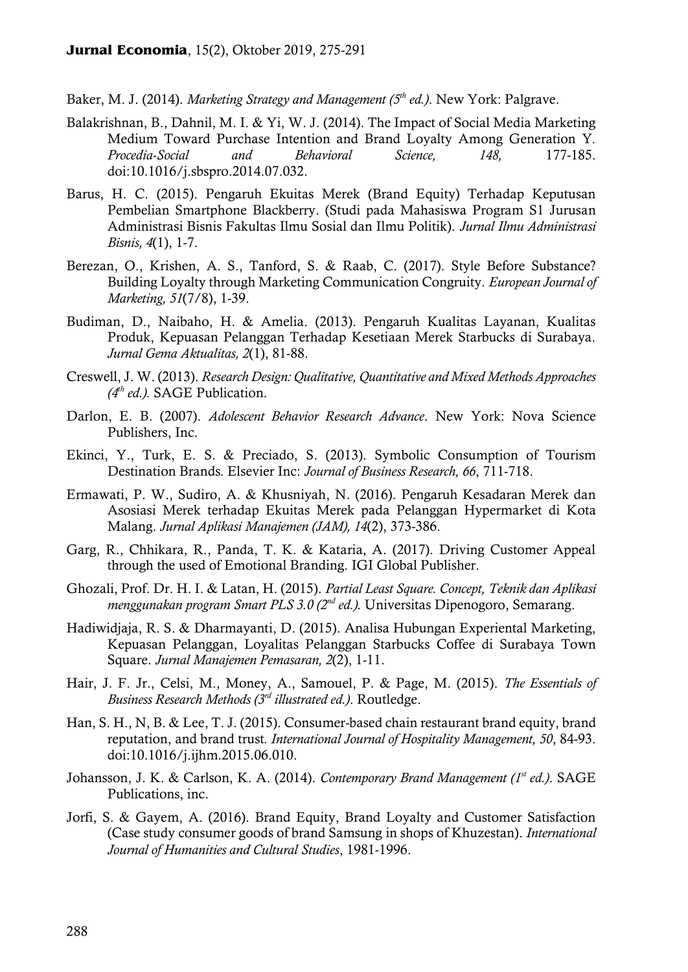Baker, M. J. (2014). *Marketing Strategy and Management (5th ed.)*. New York: Palgrave.

- Balakrishnan, B., Dahnil, M. I. & Yi, W. J. (2014). The Impact of Social Media Marketing Medium Toward Purchase Intention and Brand Loyalty Among Generation Y*. Procedia-Social and Behavioral Science, 148,* 177-185. doi:10.1016/j.sbspro.2014.07.032.
- Barus, H. C. (2015). Pengaruh Ekuitas Merek (Brand Equity) Terhadap Keputusan Pembelian Smartphone Blackberry. (Studi pada Mahasiswa Program S1 Jurusan Administrasi Bisnis Fakultas Ilmu Sosial dan Ilmu Politik). *Jurnal Ilmu Administrasi Bisnis, 4*(1), 1-7.
- Berezan, O., Krishen, A. S., Tanford, S. & Raab, C. (2017). Style Before Substance? Building Loyalty through Marketing Communication Congruity. *European Journal of Marketing, 51*(7/8), 1-39.
- Budiman, D., Naibaho, H. & Amelia. (2013). Pengaruh Kualitas Layanan, Kualitas Produk, Kepuasan Pelanggan Terhadap Kesetiaan Merek Starbucks di Surabaya. *Jurnal Gema Aktualitas, 2*(1), 81-88.
- Creswell, J. W. (2013). *Research Design: Qualitative, Quantitative and Mixed Methods Approaches (4th ed.).* SAGE Publication.
- Darlon, E. B. (2007). *Adolescent Behavior Research Advance*. New York: Nova Science Publishers, Inc.
- Ekinci, Y., Turk, E. S. & Preciado, S. (2013). Symbolic Consumption of Tourism Destination Brands*.* Elsevier Inc: *Journal of Business Research, 66*, 711-718.
- Ermawati, P. W., Sudiro, A. & Khusniyah, N. (2016). Pengaruh Kesadaran Merek dan Asosiasi Merek terhadap Ekuitas Merek pada Pelanggan Hypermarket di Kota Malang. *Jurnal Aplikasi Manajemen (JAM), 14*(2), 373-386.
- Garg, R., Chhikara, R., Panda, T. K. & Kataria, A. (2017). Driving Customer Appeal through the used of Emotional Branding. IGI Global Publisher.
- Ghozali, Prof. Dr. H. I. & Latan, H. (2015). *Partial Least Square. Concept, Teknik dan Aplikasi menggunakan program Smart PLS 3.0 (2nd ed.).* Universitas Dipenogoro, Semarang.
- Hadiwidjaja, R. S. & Dharmayanti, D. (2015). Analisa Hubungan Experiental Marketing, Kepuasan Pelanggan, Loyalitas Pelanggan Starbucks Coffee di Surabaya Town Square. *Jurnal Manajemen Pemasaran, 2*(2), 1-11.
- Hair, J. F. Jr., Celsi, M., Money, A., Samouel, P. & Page, M. (2015). *The Essentials of Business Research Methods (3rd illustrated ed.)*. Routledge.
- Han, S. H., N, B. & Lee, T. J. (2015). Consumer-based chain restaurant brand equity, brand reputation, and brand trust*. International Journal of Hospitality Management, 50*, 84-93. doi:10.1016/j.ijhm.2015.06.010.
- Johansson, J. K. & Carlson, K. A. (2014). *Contemporary Brand Management (1st ed.)*. SAGE Publications, inc.
- Jorfi, S. & Gayem, A. (2016). Brand Equity, Brand Loyalty and Customer Satisfaction (Case study consumer goods of brand Samsung in shops of Khuzestan). *International Journal of Humanities and Cultural Studies*, 1981-1996.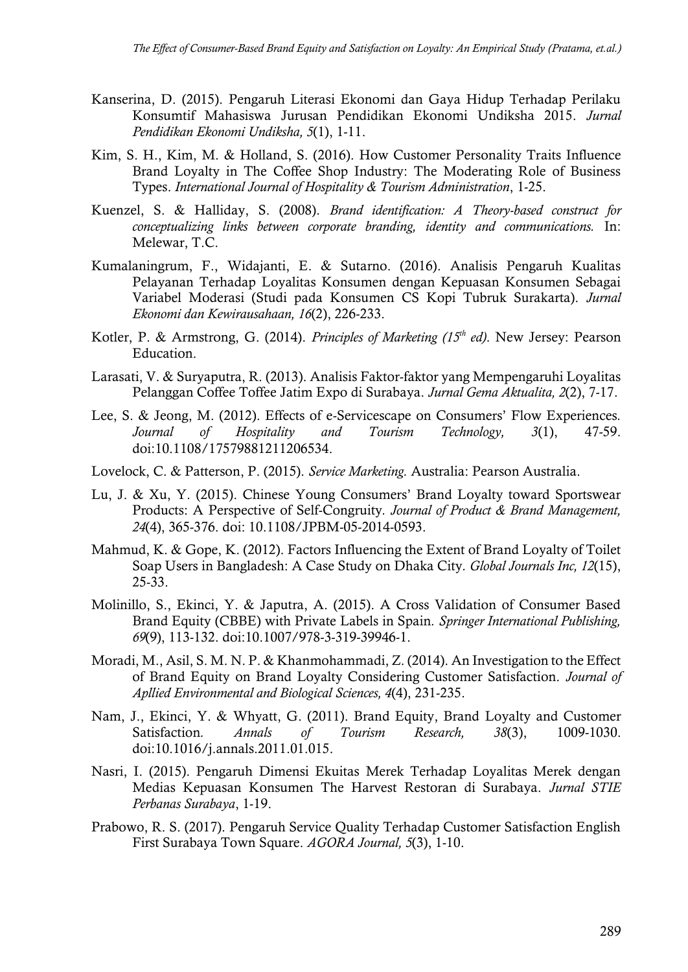- Kanserina, D. (2015). Pengaruh Literasi Ekonomi dan Gaya Hidup Terhadap Perilaku Konsumtif Mahasiswa Jurusan Pendidikan Ekonomi Undiksha 2015. *Jurnal Pendidikan Ekonomi Undiksha, 5*(1), 1-11.
- Kim, S. H., Kim, M. & Holland, S. (2016). How Customer Personality Traits Influence Brand Loyalty in The Coffee Shop Industry: The Moderating Role of Business Types. *International Journal of Hospitality & Tourism Administration*, 1-25.
- Kuenzel, S. & Halliday, S. (2008). *Brand identification: A Theory-based construct for conceptualizing links between corporate branding, identity and communications.* In: Melewar, T.C.
- Kumalaningrum, F., Widajanti, E. & Sutarno. (2016). Analisis Pengaruh Kualitas Pelayanan Terhadap Loyalitas Konsumen dengan Kepuasan Konsumen Sebagai Variabel Moderasi (Studi pada Konsumen CS Kopi Tubruk Surakarta). *Jurnal Ekonomi dan Kewirausahaan, 16*(2), 226-233.
- Kotler, P. & Armstrong, G. (2014). *Principles of Marketing (15th ed)*. New Jersey: Pearson Education.
- Larasati, V. & Suryaputra, R. (2013). Analisis Faktor-faktor yang Mempengaruhi Loyalitas Pelanggan Coffee Toffee Jatim Expo di Surabaya. *Jurnal Gema Aktualita, 2*(2), 7-17.
- Lee, S. & Jeong, M. (2012). Effects of e-Servicescape on Consumers' Flow Experiences*. Journal of Hospitality and Tourism Technology, 3*(1), 47-59. doi:10.1108/17579881211206534.
- Lovelock, C. & Patterson, P. (2015). *Service Marketing.* Australia: Pearson Australia.
- Lu, J. & Xu, Y. (2015). Chinese Young Consumers' Brand Loyalty toward Sportswear Products: A Perspective of Self-Congruity*. Journal of Product & Brand Management, 24*(4), 365-376. doi: 10.1108/JPBM-05-2014-0593.
- Mahmud, K. & Gope, K. (2012). Factors Influencing the Extent of Brand Loyalty of Toilet Soap Users in Bangladesh: A Case Study on Dhaka City*. Global Journals Inc, 12*(15), 25-33.
- Molinillo, S., Ekinci, Y. & Japutra, A. (2015). A Cross Validation of Consumer Based Brand Equity (CBBE) with Private Labels in Spain*. Springer International Publishing, 69*(9), 113-132. doi:10.1007/978-3-319-39946-1.
- Moradi, M., Asil, S. M. N. P. & Khanmohammadi, Z. (2014). An Investigation to the Effect of Brand Equity on Brand Loyalty Considering Customer Satisfaction. *Journal of Apllied Environmental and Biological Sciences, 4*(4), 231-235.
- Nam, J., Ekinci, Y. & Whyatt, G. (2011). Brand Equity, Brand Loyalty and Customer Satisfaction*. Annals of Tourism Research, 38*(3), 1009-1030. doi:10.1016/j.annals.2011.01.015.
- Nasri, I. (2015). Pengaruh Dimensi Ekuitas Merek Terhadap Loyalitas Merek dengan Medias Kepuasan Konsumen The Harvest Restoran di Surabaya. *Jurnal STIE Perbanas Surabaya*, 1-19.
- Prabowo, R. S. (2017). Pengaruh Service Quality Terhadap Customer Satisfaction English First Surabaya Town Square. *AGORA Journal, 5*(3), 1-10.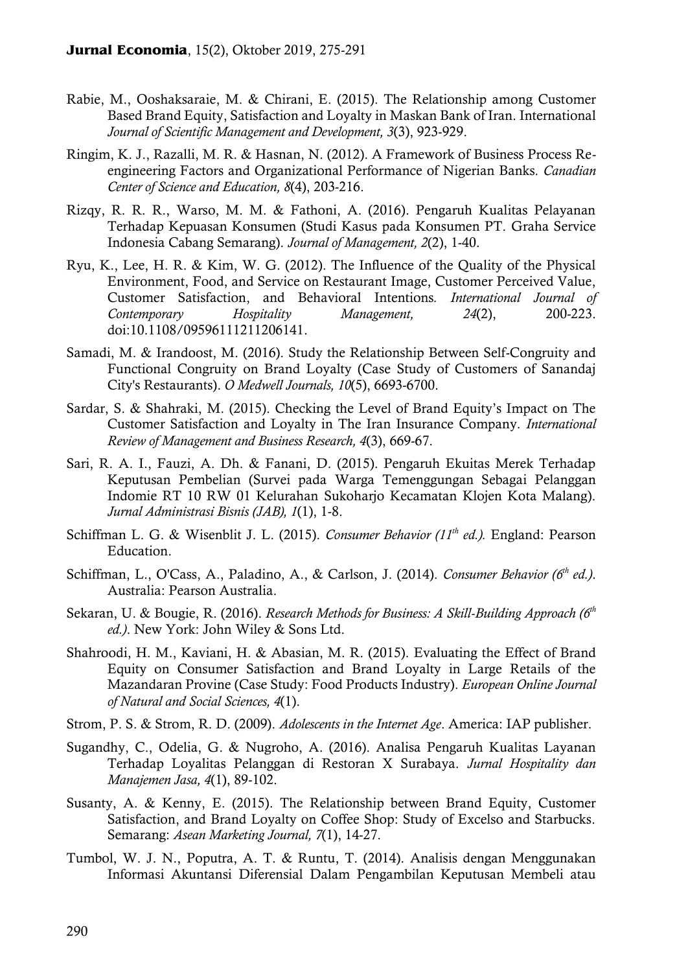- Rabie, M., Ooshaksaraie, M. & Chirani, E. (2015). The Relationship among Customer Based Brand Equity, Satisfaction and Loyalty in Maskan Bank of Iran. International *Journal of Scientific Management and Development, 3*(3), 923-929.
- Ringim, K. J., Razalli, M. R. & Hasnan, N. (2012). A Framework of Business Process Reengineering Factors and Organizational Performance of Nigerian Banks*. Canadian Center of Science and Education, 8*(4), 203-216.
- Rizqy, R. R. R., Warso, M. M. & Fathoni, A. (2016). Pengaruh Kualitas Pelayanan Terhadap Kepuasan Konsumen (Studi Kasus pada Konsumen PT. Graha Service Indonesia Cabang Semarang). *Journal of Management, 2*(2), 1-40.
- Ryu, K., Lee, H. R. & Kim, W. G. (2012). The Influence of the Quality of the Physical Environment, Food, and Service on Restaurant Image, Customer Perceived Value, Customer Satisfaction, and Behavioral Intentions*. International Journal of Contemporary Hospitality Management, 24*(2), 200-223. doi:10.1108/09596111211206141.
- Samadi, M. & Irandoost, M. (2016). Study the Relationship Between Self-Congruity and Functional Congruity on Brand Loyalty (Case Study of Customers of Sanandaj City's Restaurants). *O Medwell Journals, 10*(5), 6693-6700.
- Sardar, S. & Shahraki, M. (2015). Checking the Level of Brand Equity's Impact on The Customer Satisfaction and Loyalty in The Iran Insurance Company*. International Review of Management and Business Research, 4*(3), 669-67.
- Sari, R. A. I., Fauzi, A. Dh. & Fanani, D. (2015). Pengaruh Ekuitas Merek Terhadap Keputusan Pembelian (Survei pada Warga Temenggungan Sebagai Pelanggan Indomie RT 10 RW 01 Kelurahan Sukoharjo Kecamatan Klojen Kota Malang). *Jurnal Administrasi Bisnis (JAB), 1*(1), 1-8.
- Schiffman L. G. & Wisenblit J. L. (2015). *Consumer Behavior (11th ed.).* England: Pearson Education.
- Schiffman, L., O'Cass, A., Paladino, A., & Carlson, J. (2014). *Consumer Behavior (6th ed.)*. Australia: Pearson Australia.
- Sekaran, U. & Bougie, R. (2016). *Research Methods for Business: A Skill-Building Approach (6th ed.)*. New York: John Wiley & Sons Ltd.
- Shahroodi, H. M., Kaviani, H. & Abasian, M. R. (2015). Evaluating the Effect of Brand Equity on Consumer Satisfaction and Brand Loyalty in Large Retails of the Mazandaran Provine (Case Study: Food Products Industry). *European Online Journal of Natural and Social Sciences, 4*(1).
- Strom, P. S. & Strom, R. D. (2009). *Adolescents in the Internet Age*. America: IAP publisher.
- Sugandhy, C., Odelia, G. & Nugroho, A. (2016). Analisa Pengaruh Kualitas Layanan Terhadap Loyalitas Pelanggan di Restoran X Surabaya. *Jurnal Hospitality dan Manajemen Jasa, 4*(1), 89-102.
- Susanty, A. & Kenny, E. (2015). The Relationship between Brand Equity, Customer Satisfaction, and Brand Loyalty on Coffee Shop: Study of Excelso and Starbucks. Semarang: *Asean Marketing Journal, 7*(1), 14-27.
- Tumbol, W. J. N., Poputra, A. T. & Runtu, T. (2014). Analisis dengan Menggunakan Informasi Akuntansi Diferensial Dalam Pengambilan Keputusan Membeli atau